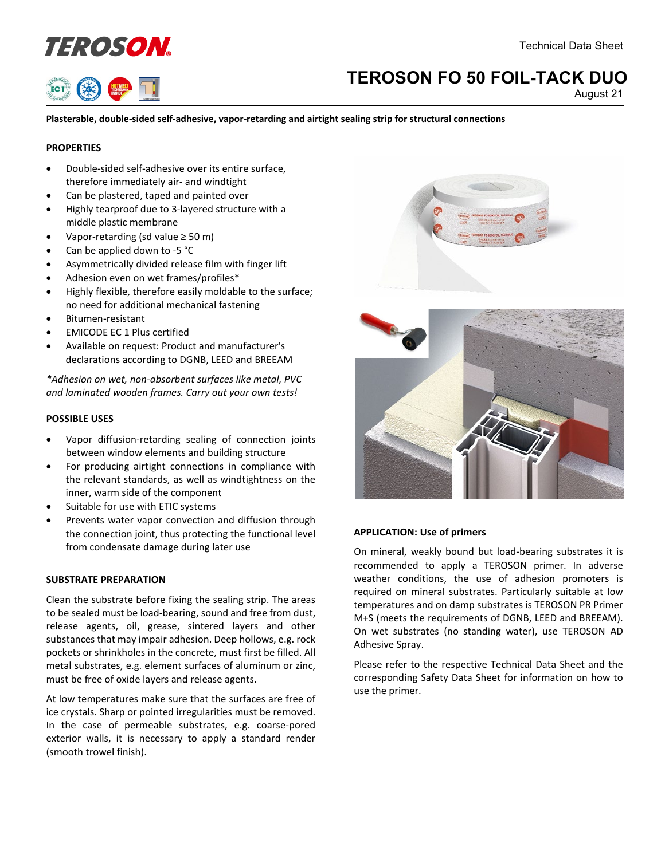



# **TEROSON FO 50 FOIL-TACK DUO**

August 21

**Plasterable, double-sided self-adhesive, vapor-retarding and airtight sealing strip for structural connections**

# **PROPERTIES**

- Double-sided self-adhesive over its entire surface, therefore immediately air- and windtight
- Can be plastered, taped and painted over
- Highly tearproof due to 3-layered structure with a middle plastic membrane
- Vapor-retarding (sd value ≥ 50 m)
- Can be applied down to -5 °C
- Asymmetrically divided release film with finger lift
- Adhesion even on wet frames/profiles\*
- Highly flexible, therefore easily moldable to the surface; no need for additional mechanical fastening
- Bitumen-resistant
- EMICODE EC 1 Plus certified
- Available on request: Product and manufacturer's declarations according to DGNB, LEED and BREEAM

*\*Adhesion on wet, non-absorbent surfaces like metal, PVC and laminated wooden frames. Carry out your own tests!*

# **POSSIBLE USES**

- Vapor diffusion-retarding sealing of connection joints between window elements and building structure
- For producing airtight connections in compliance with the relevant standards, as well as windtightness on the inner, warm side of the component
- Suitable for use with ETIC systems
- Prevents water vapor convection and diffusion through the connection joint, thus protecting the functional level from condensate damage during later use

# **SUBSTRATE PREPARATION**

Clean the substrate before fixing the sealing strip. The areas to be sealed must be load-bearing, sound and free from dust, release agents, oil, grease, sintered layers and other substances that may impair adhesion. Deep hollows, e.g. rock pockets or shrinkholes in the concrete, must first be filled. All metal substrates, e.g. element surfaces of aluminum or zinc, must be free of oxide layers and release agents.

At low temperatures make sure that the surfaces are free of ice crystals. Sharp or pointed irregularities must be removed. In the case of permeable substrates, e.g. coarse-pored exterior walls, it is necessary to apply a standard render (smooth trowel finish).





# **APPLICATION: Use of primers**

On mineral, weakly bound but load-bearing substrates it is recommended to apply a TEROSON primer. In adverse weather conditions, the use of adhesion promoters is required on mineral substrates. Particularly suitable at low temperatures and on damp substrates is TEROSON PR Primer M+S (meets the requirements of DGNB, LEED and BREEAM). On wet substrates (no standing water), use TEROSON AD Adhesive Spray.

Please refer to the respective Technical Data Sheet and the corresponding Safety Data Sheet for information on how to use the primer.